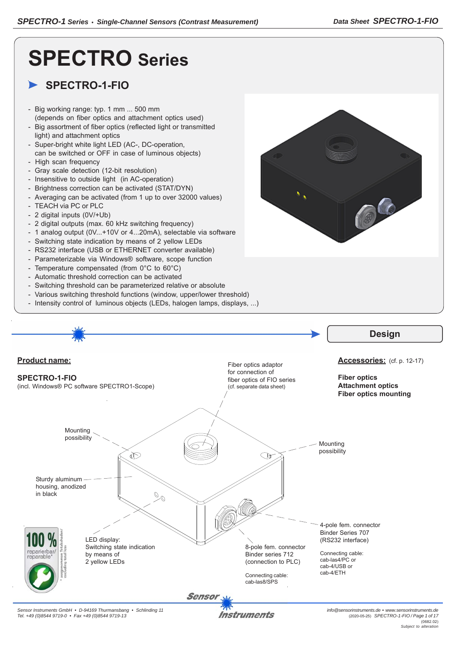# **SPECTRO Series**

# **SPECTRO-1-FIO**

- Big working range: typ. 1 mm ... 500 mm (depends on fiber optics and attachment optics used)
- Big assortment of fiber optics (reflected light or transmitted light) and attachment optics
- Super-bright white light LED (AC-, DC-operation, can be switched or OFF in case of luminous objects)
- High scan frequency - Gray scale detection (12-bit resolution)
- Insensitive to outside light (in AC-operation)
- Brightness correction can be activated (STAT/DYN)
- Averaging can be activated (from 1 up to over 32000 values)
- TEACH via PC or PLC
- 2 digital inputs (0V/+Ub)
- 2 digital outputs (max. 60 kHz switching frequency)
- 1 analog output (0V...+10V or 4...20mA), selectable via software
- Switching state indication by means of 2 yellow LEDs
- RS232 interface (USB or ETHERNET converter available)
- Parameterizable via Windows® software, scope function
- Temperature compensated (from 0°C to 60°C)
- Automatic threshold correction can be activated
- Switching threshold can be parameterized relative or absolute
- Various switching threshold functions (window, upper/lower threshold)
- Intensity control of luminous objects (LEDs, halogen lamps, displays, ...)



*Sensor Instruments GmbH • D-94169 Thurmansbang • Schlinding 11 Tel. +49 (0)8544 9719-0 • Fax +49 (0)8544 9719-13*

Instruments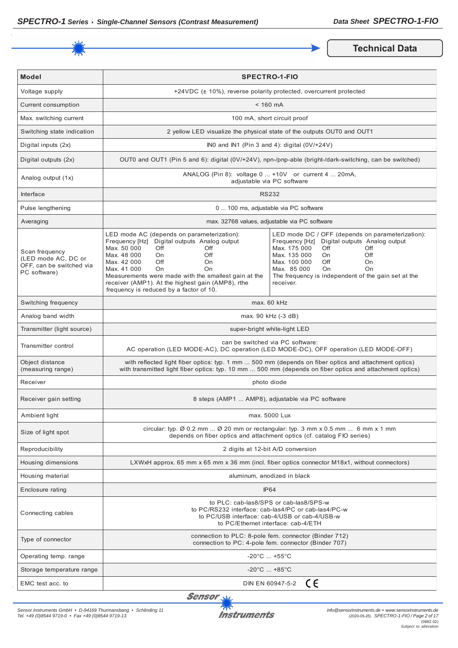

**Technical Data** 

| <b>Model</b>                                                                      |                                                                                                                                                                                                                                                                                                                                                                            | <b>SPECTRO-1-FIO</b>                                                                                                                                                                                                                                                                            |  |
|-----------------------------------------------------------------------------------|----------------------------------------------------------------------------------------------------------------------------------------------------------------------------------------------------------------------------------------------------------------------------------------------------------------------------------------------------------------------------|-------------------------------------------------------------------------------------------------------------------------------------------------------------------------------------------------------------------------------------------------------------------------------------------------|--|
| Voltage supply                                                                    |                                                                                                                                                                                                                                                                                                                                                                            | +24VDC (± 10%), reverse polarity protected, overcurrent protected                                                                                                                                                                                                                               |  |
| Current consumption                                                               | $< 160$ mA                                                                                                                                                                                                                                                                                                                                                                 |                                                                                                                                                                                                                                                                                                 |  |
| Max. switching current                                                            |                                                                                                                                                                                                                                                                                                                                                                            | 100 mA, short circuit proof                                                                                                                                                                                                                                                                     |  |
| Switching state indication                                                        |                                                                                                                                                                                                                                                                                                                                                                            | 2 yellow LED visualize the physical state of the outputs OUT0 and OUT1                                                                                                                                                                                                                          |  |
| Digital inputs (2x)                                                               |                                                                                                                                                                                                                                                                                                                                                                            | INO and IN1 (Pin 3 and 4): digital (0V/+24V)                                                                                                                                                                                                                                                    |  |
| Digital outputs (2x)                                                              | OUT0 and OUT1 (Pin 5 and 6): digital (0V/+24V), npn-/pnp-able (bright-/dark-switching, can be switched)                                                                                                                                                                                                                                                                    |                                                                                                                                                                                                                                                                                                 |  |
| Analog output (1x)                                                                | ANALOG (Pin 8): voltage 0  +10V or current 4  20mA,<br>adjustable via PC software                                                                                                                                                                                                                                                                                          |                                                                                                                                                                                                                                                                                                 |  |
| Interface                                                                         | <b>RS232</b>                                                                                                                                                                                                                                                                                                                                                               |                                                                                                                                                                                                                                                                                                 |  |
| Pulse lengthening                                                                 |                                                                                                                                                                                                                                                                                                                                                                            | 0  100 ms, adjustable via PC software                                                                                                                                                                                                                                                           |  |
| Averaging                                                                         |                                                                                                                                                                                                                                                                                                                                                                            | max. 32768 values, adjustable via PC software                                                                                                                                                                                                                                                   |  |
| Scan frequency<br>(LED mode AC, DC or<br>OFF, can be switched via<br>PC software) | LED mode AC (depends on parameterization):<br>Frequency [Hz] Digital outputs Analog output<br>Max. 50 000<br><b>Off</b><br>Off<br>Max. 48 000<br>Off<br>On.<br>Off<br>Max. 42 000<br>On<br>Max. 41 000<br>On<br>On<br>Measurements were made with the smallest gain at the<br>receiver (AMP1). At the highest gain (AMP8), rthe<br>frequency is reduced by a factor of 10. | LED mode DC / OFF (depends on parameterization):<br>Frequency [Hz] Digital outputs Analog output<br>Max. 175 000<br>Off<br>Off<br>Max. 135 000<br>On.<br>Off<br>Max. 100 000<br>Off<br><b>On</b><br>Max. 85 000<br>On<br>On<br>The frequency is independent of the gain set at the<br>receiver. |  |
| Switching frequency                                                               | max. 60 kHz                                                                                                                                                                                                                                                                                                                                                                |                                                                                                                                                                                                                                                                                                 |  |
| Analog band width                                                                 |                                                                                                                                                                                                                                                                                                                                                                            | max. 90 kHz (-3 dB)                                                                                                                                                                                                                                                                             |  |
| Transmitter (light source)                                                        | super-bright white-light LED                                                                                                                                                                                                                                                                                                                                               |                                                                                                                                                                                                                                                                                                 |  |
| Transmitter control                                                               | can be switched via PC software:<br>AC operation (LED MODE-AC), DC operation (LED MODE-DC), OFF operation (LED MODE-OFF)                                                                                                                                                                                                                                                   |                                                                                                                                                                                                                                                                                                 |  |
| Object distance<br>(measuring range)                                              | with reflected light fiber optics: typ. 1 mm  500 mm (depends on fiber optics and attachment optics)<br>with transmitted light fiber optics: typ. 10 mm  500 mm (depends on fiber optics and attachment optics)                                                                                                                                                            |                                                                                                                                                                                                                                                                                                 |  |
| Receiver                                                                          | photo diode                                                                                                                                                                                                                                                                                                                                                                |                                                                                                                                                                                                                                                                                                 |  |
| Receiver gain setting                                                             | 8 steps (AMP1  AMP8), adjustable via PC software                                                                                                                                                                                                                                                                                                                           |                                                                                                                                                                                                                                                                                                 |  |
| Ambient light                                                                     | max. 5000 Lux                                                                                                                                                                                                                                                                                                                                                              |                                                                                                                                                                                                                                                                                                 |  |
| Size of light spot                                                                | circular: typ. Ø 0.2 mm  Ø 20 mm or rectangular: typ. 3 mm x 0.5 mm  6 mm x 1 mm<br>depends on fiber optics and attachment optics (cf. catalog FIO series)                                                                                                                                                                                                                 |                                                                                                                                                                                                                                                                                                 |  |
| Reproducibility                                                                   | 2 digits at 12-bit A/D conversion                                                                                                                                                                                                                                                                                                                                          |                                                                                                                                                                                                                                                                                                 |  |
| Housing dimensions                                                                | LXWxH approx. 65 mm x 65 mm x 36 mm (incl. fiber optics connector M18x1, without connectors)                                                                                                                                                                                                                                                                               |                                                                                                                                                                                                                                                                                                 |  |
| Housing material                                                                  | aluminum, anodized in black                                                                                                                                                                                                                                                                                                                                                |                                                                                                                                                                                                                                                                                                 |  |
| Enclosure rating                                                                  | <b>IP64</b>                                                                                                                                                                                                                                                                                                                                                                |                                                                                                                                                                                                                                                                                                 |  |
| Connecting cables                                                                 | to PLC: cab-las8/SPS or cab-las8/SPS-w<br>to PC/RS232 interface: cab-las4/PC or cab-las4/PC-w<br>to PC/USB interface: cab-4/USB or cab-4/USB-w<br>to PC/Ethernet interface: cab-4/ETH                                                                                                                                                                                      |                                                                                                                                                                                                                                                                                                 |  |
| Type of connector                                                                 | connection to PLC: 8-pole fem. connector (Binder 712)<br>connection to PC: 4-pole fem. connector (Binder 707)                                                                                                                                                                                                                                                              |                                                                                                                                                                                                                                                                                                 |  |
| Operating temp. range                                                             | $-20^{\circ}$ C  +55 $^{\circ}$ C                                                                                                                                                                                                                                                                                                                                          |                                                                                                                                                                                                                                                                                                 |  |
| Storage temperature range                                                         | $-20^{\circ}$ C  +85 $^{\circ}$ C                                                                                                                                                                                                                                                                                                                                          |                                                                                                                                                                                                                                                                                                 |  |
| EMC test acc. to                                                                  | CE<br>DIN EN 60947-5-2                                                                                                                                                                                                                                                                                                                                                     |                                                                                                                                                                                                                                                                                                 |  |

Sensor<sub>N</sub>

*Sensor Instruments GmbH • D-94169 Thurmansbang • Schlinding 11 Tel. +49 (0)8544 9719-0 • Fax +49 (0)8544 9719-13*

外区 **Instruments**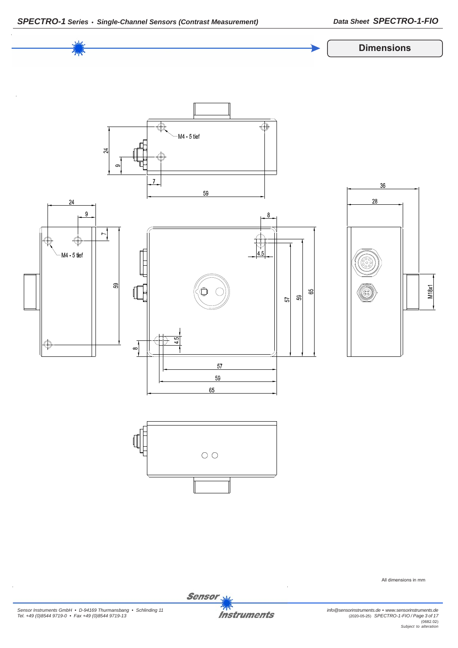



*Sensor Instruments GmbH • D-94169 Thurmansbang • Schlinding 11 Tel. +49 (0)8544 9719-0 • Fax +49 (0)8544 9719-13*

Sensor<sub>s</sub> **Instruments** 

*info@sensorinstruments.de • www.sensorinstruments.de* (2020-05-25) *SPECTRO-1-FIO / Page 3 of 17*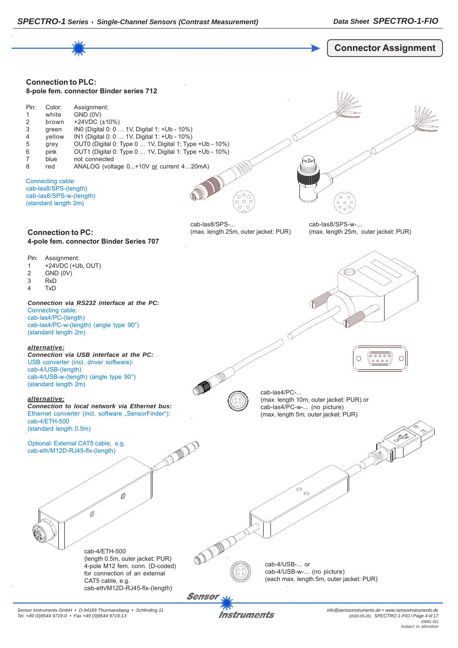

Instruments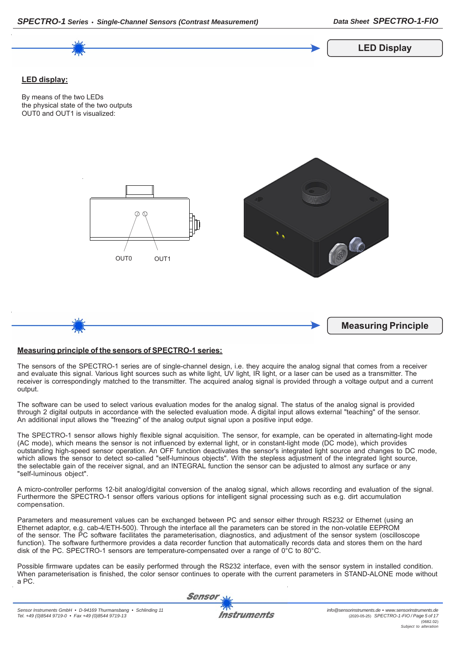

*SPECTRO-1 Series • Single-Channel Sensors (Contrast Measurement) Data Sheet SPECTRO-1-FIO*

## **Measuring principle of the sensors of SPECTRO-1 series:**

The sensors of the SPECTRO-1 series are of single-channel design, i.e. they acquire the analog signal that comes from a receiver and evaluate this signal. Various light sources such as white light, UV light, IR light, or a laser can be used as a transmitter. The receiver is correspondingly matched to the transmitter. The acquired analog signal is provided through a voltage output and a current output.

The software can be used to select various evaluation modes for the analog signal. The status of the analog signal is provided through 2 digital outputs in accordance with the selected evaluation mode. A digital input allows external "teaching" of the sensor. An additional input allows the "freezing" of the analog output signal upon a positive input edge.

The SPECTRO-1 sensor allows highly flexible signal acquisition. The sensor, for example, can be operated in alternating-light mode (AC mode), which means the sensor is not influenced by external light, or in constant-light mode (DC mode), which provides outstanding high-speed sensor operation. An OFF function deactivates the sensor's integrated light source and changes to DC mode, which allows the sensor to detect so-called "self-luminous objects". With the stepless adjustment of the integrated light source, the selectable gain of the receiver signal, and an INTEGRAL function the sensor can be adjusted to almost any surface or any "self-luminous object".

A micro-controller performs 12-bit analog/digital conversion of the analog signal, which allows recording and evaluation of the signal. Furthermore the SPECTRO-1 sensor offers various options for intelligent signal processing such as e.g. dirt accumulation compensation.

Parameters and measurement values can be exchanged between PC and sensor either through RS232 or Ethernet (using an Ethernet adaptor, e.g. cab-4/ETH-500). Through the interface all the parameters can be stored in the non-volatile EEPROM of the sensor. The PC software facilitates the parameterisation, diagnostics, and adjustment of the sensor system (oscilloscope function). The software furthermore provides a data recorder function that automatically records data and stores them on the hard disk of the PC. SPECTRO-1 sensors are temperature-compensated over a range of 0°C to 80°C.

Possible firmware updates can be easily performed through the RS232 interface, even with the sensor system in installed condition. When parameterisation is finished, the color sensor continues to operate with the current parameters in STAND-ALONE mode without a PC.

**Sensor**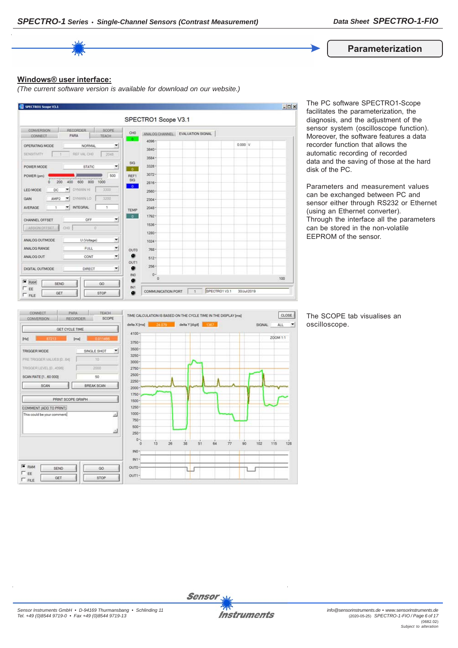

#### **Windows® user interface:**

*(The current software version is available for download on our website.)*



The PC software SPECTRO1-Scope facilitates the parameterization, the diagnosis, and the adjustment of the sensor system (oscilloscope function). Moreover, the software features a data recorder function that allows the automatic recording of recorded data and the saving of those at the hard disk of the PC.

Parameters and measurement values can be exchanged between PC and sensor either through RS232 or Ethernet (using an Ethernet converter). Through the interface all the parameters can be stored in the non-volatile EEPROM of the sensor.



The SCOPE tab visualises an oscilloscope.

 $\left| \cdot \right|$ 

 $128$ 



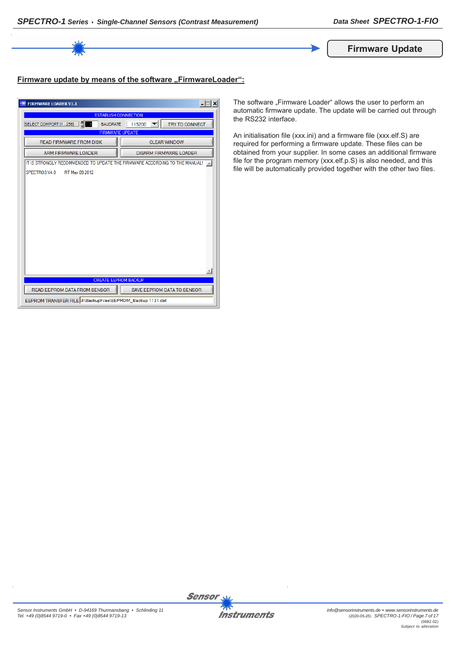

# Firmware update by means of the software "FirmwareLoader":

| <b>FIRMWARE LOADER V1.1</b>                                                | $\Box$                        |  |  |
|----------------------------------------------------------------------------|-------------------------------|--|--|
| <b>ESTABLISH CONNECTION</b>                                                |                               |  |  |
| <b>BAUDRATE</b><br>SELECT COMPORT [1256]                                   | TRY TO CONNECT<br>115200      |  |  |
| <b>FIRMWARE UPDATE</b>                                                     |                               |  |  |
| <b>READ FIRMWARE FROM DISK</b>                                             | <b>CLEAR WINDOW</b>           |  |  |
| ARM FIRMWARE LOADER                                                        | <b>DISARM FIRMWARE LOADER</b> |  |  |
| IT IS STRONGLY RECOMMENDED TO UPDATE THE FIRMWARE ACCORDING TO THE MANUAL! |                               |  |  |
| SPECTRO3 V4.0<br>RT May 09 2012                                            |                               |  |  |
|                                                                            |                               |  |  |
|                                                                            |                               |  |  |
|                                                                            |                               |  |  |
|                                                                            |                               |  |  |
|                                                                            |                               |  |  |
|                                                                            |                               |  |  |
|                                                                            |                               |  |  |
|                                                                            |                               |  |  |
|                                                                            |                               |  |  |
|                                                                            |                               |  |  |
|                                                                            |                               |  |  |
|                                                                            |                               |  |  |
| <b>CREATE EEPROM BACKUP</b>                                                |                               |  |  |
| READ EEPROM DATA FROM SENSOR                                               | SAVE EEPROM DATA TO SENSOR    |  |  |
| EEPROM TRANSFER FILE d:\BackupFiles\EEPROM_Backup 1131.dat                 |                               |  |  |

The software "Firmware Loader" allows the user to perform an automatic firmware update. The update will be carried out through the RS232 interface.

An initialisation file (xxx.ini) and a firmware file (xxx.elf.S) are required for performing a firmware update. These files can be obtained from your supplier. In some cases an additional firmware file for the program memory (xxx.elf.p.S) is also needed, and this file will be automatically provided together with the other two files.

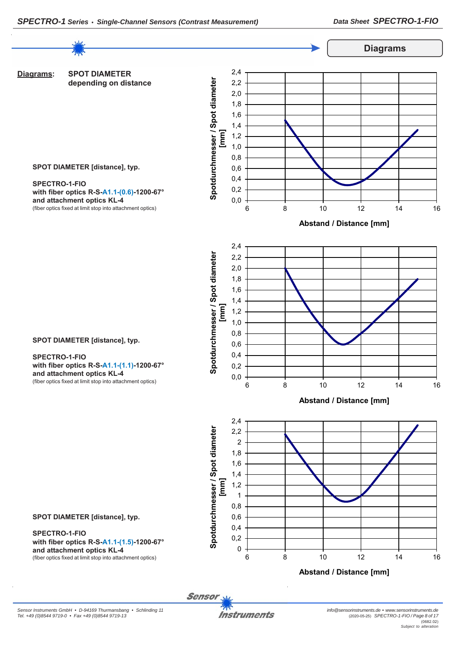

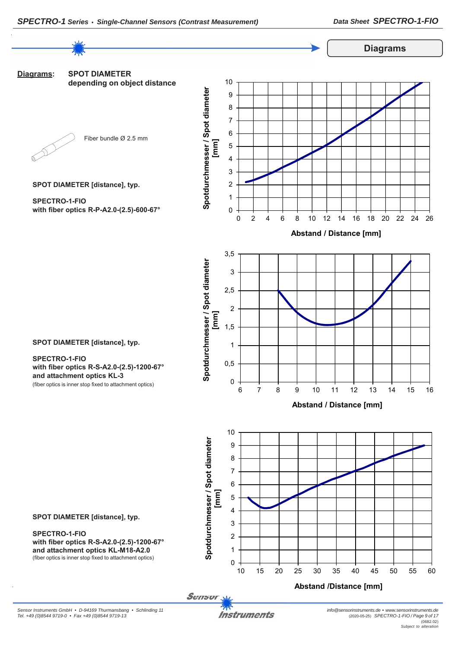**Diagrams**



**SPOT DIAMETER [distance], typ.**

**SPECTRO-1-FIO with fiber optics R-S-A2.0-(2.5)-1200-67° and attachment optics KL-M18-A2.0** (fiber optics is inner stop fixed to attachment optics)

Sensor

 $\Omega$ 1  $\overline{2}$ 3

10 15 20 25 30 35 40 45 50 55 60

**Abstand /Distance [mm]**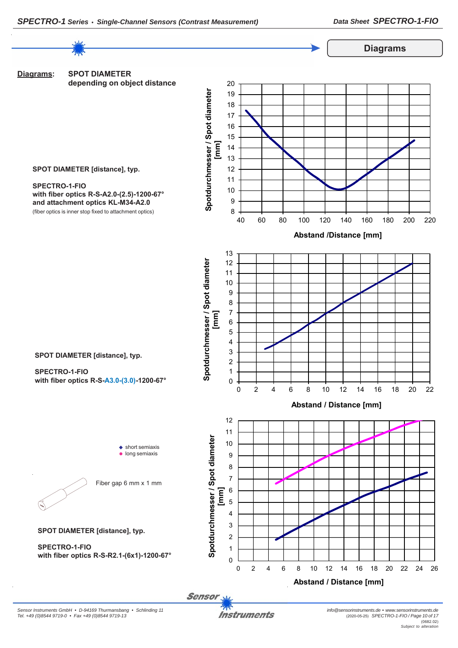

*Sensor Instruments GmbH • D-94169 Thurmansbang • Schlinding 11 Tel. +49 (0)8544 9719-0 • Fax +49 (0)8544 9719-13*

**Instruments**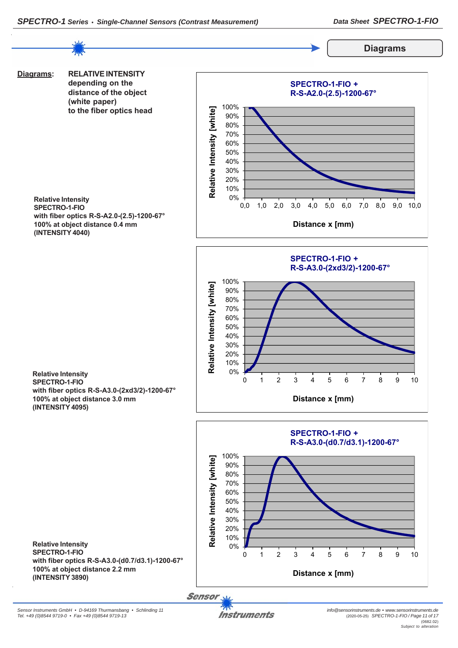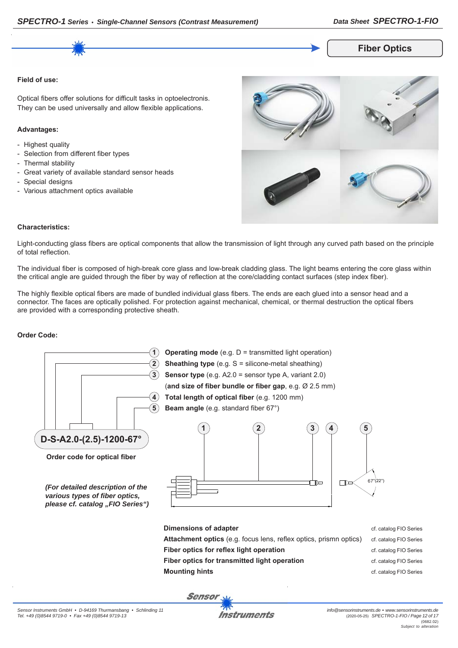# *SPECTRO-1 Series • Single-Channel Sensors (Contrast Measurement) Data Sheet SPECTRO-1-FIO*

**Fiber Optics**

#### **Field of use:**

Optical fibers offer solutions for difficult tasks in optoelectronis. They can be used universally and allow flexible applications.

#### **Advantages:**

- Highest quality
- Selection from different fiber types
- Thermal stability
- Great variety of available standard sensor heads
- Special designs
- Various attachment optics available



#### **Characteristics:**

Light-conducting glass fibers are optical components that allow the transmission of light through any curved path based on the principle of total reflection.

The individual fiber is composed of high-break core glass and low-break cladding glass. The light beams entering the core glass within the critical angle are guided through the fiber by way of reflection at the core/cladding contact surfaces (step index fiber).

The highly flexible optical fibers are made of bundled individual glass fibers. The ends are each glued into a sensor head and a connector. The faces are optically polished. For protection against mechanical, chemical, or thermal destruction the optical fibers are provided with a corresponding protective sheath.

#### **Order Code:**

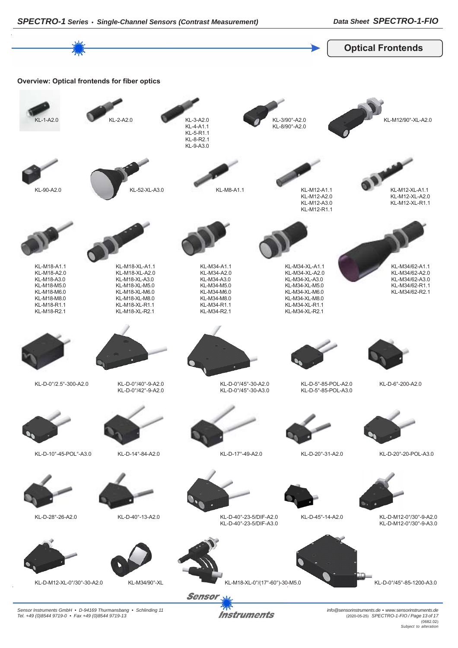

**Instruments** 

*Sensor Instruments GmbH • D-94169 Thurmansbang • Schlinding 11 Tel. +49 (0)8544 9719-0 • Fax +49 (0)8544 9719-13*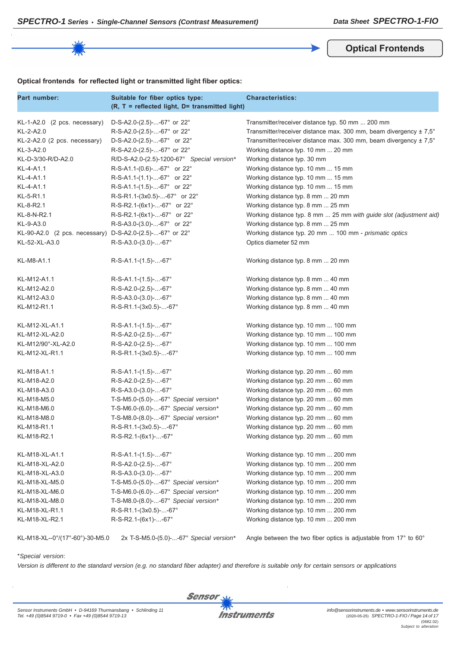**Optical Frontends**

# **Optical frontends for reflected light or transmitted light fiber optics:**

| Part number:                                             | Suitable for fiber optics type:<br>(R, T = reflected light, D= transmitted light) | <b>Characteristics:</b>                                            |
|----------------------------------------------------------|-----------------------------------------------------------------------------------|--------------------------------------------------------------------|
| KL-1-A2.0 (2 pcs. necessary)                             | D-S-A2.0-(2.5)--67° or 22°                                                        | Transmitter/receiver distance typ. 50 mm  200 mm                   |
| KL-2-A2.0                                                | R-S-A2.0-(2.5)--67° or 22°                                                        | Transmitter/receiver distance max. 300 mm, beam divergency ± 7,5°  |
| KL-2-A2.0 (2 pcs. necessary)                             | D-S-A2.0-(2.5)--67° or 22°                                                        | Transmitter/receiver distance max. 300 mm, beam divergency ± 7,5°  |
| KL-3-A2.0                                                | R-S-A2.0-(2.5)--67° or 22°                                                        | Working distance typ. 10 mm  20 mm                                 |
| KL-D-3/30-R/D-A2.0                                       | R/D-S-A2.0-(2.5)-1200-67° Special version*                                        | Working distance typ. 30 mm                                        |
| KL-4-A1.1                                                | R-S-A1.1-(0.6)--67° or 22°                                                        | Working distance typ. 10 mm  15 mm                                 |
| KL-4-A1.1                                                | R-S-A1.1-(1.1)--67° or 22°                                                        | Working distance typ. 10 mm  15 mm                                 |
| KL-4-A1.1                                                | $R-S-A1.1-(1.5)$ --67° or 22°                                                     | Working distance typ. 10 mm  15 mm                                 |
| KL-5-R1.1                                                | R-S-R1.1-(3x0.5)--67° or 22°                                                      | Working distance typ. 8 mm  20 mm                                  |
| KL-8-R2.1                                                | R-S-R2.1-(6x1)--67° or 22°                                                        | Working distance typ. 8 mm  25 mm                                  |
| KL-8-N-R2.1                                              | R-S-R2.1-(6x1)--67° or 22°                                                        | Working distance typ. 8 mm  25 mm with guide slot (adjustment aid) |
| KL-9-A3.0                                                | R-S-A3.0-(3.0)--67° or 22°                                                        | Working distance typ. 8 mm  25 mm                                  |
| KL-90-A2.0 (2 pcs. necessary) D-S-A2.0-(2.5)--67° or 22° |                                                                                   | Working distance typ. 20 mm  100 mm - prismatic optics             |
| KL-52-XL-A3.0                                            | $R-S-A3.0-(3.0)$ --67°                                                            | Optics diameter 52 mm                                              |
| KL-M8-A1.1                                               | $R-S-A1.1-(1.5)--67°$                                                             | Working distance typ. 8 mm  20 mm                                  |
| KL-M12-A1.1                                              | $R-S-A1.1-(1.5)$ --67°                                                            | Working distance typ. 8 mm  40 mm                                  |
| KL-M12-A2.0                                              | R-S-A2.0-(2.5)--67°                                                               | Working distance typ. 8 mm  40 mm                                  |
| KL-M12-A3.0                                              | $R-S-A3.0-(3.0)$ --67°                                                            | Working distance typ. 8 mm  40 mm                                  |
| KL-M12-R1.1                                              | R-S-R1.1-(3x0.5)--67°                                                             | Working distance typ. 8 mm  40 mm                                  |
| KL-M12-XL-A1.1                                           | $R-S-A1.1-(1.5)$ --67°                                                            | Working distance typ. 10 mm  100 mm                                |
| KL-M12-XL-A2.0                                           | $R-S-A2.0-(2.5)--67^{\circ}$                                                      | Working distance typ. 10 mm  100 mm                                |
| KL-M12/90°-XL-A2.0                                       | R-S-A2.0-(2.5)--67°                                                               | Working distance typ. 10 mm  100 mm                                |
| KL-M12-XL-R1.1                                           | R-S-R1.1-(3x0.5)--67°                                                             | Working distance typ. 10 mm  100 mm                                |
| KL-M18-A1.1                                              | $R-S-A1.1-(1.5)$ --67°                                                            | Working distance typ. 20 mm  60 mm                                 |
| KL-M18-A2.0                                              | R-S-A2.0-(2.5)--67°                                                               | Working distance typ. 20 mm  60 mm                                 |
| KL-M18-A3.0                                              | $R-S-A3.0-(3.0)$ --67°                                                            | Working distance typ. 20 mm  60 mm                                 |
| KL-M18-M5.0                                              | T-S-M5.0-(5.0)--67° Special version*                                              | Working distance typ. 20 mm  60 mm                                 |
| KL-M18-M6.0                                              | T-S-M6.0- $(6.0)$ --67° Special version*                                          | Working distance typ. 20 mm  60 mm                                 |
| KL-M18-M8.0                                              | T-S-M8.0-(8.0)--67° Special version*                                              | Working distance typ. 20 mm  60 mm                                 |
| KL-M18-R1.1                                              | R-S-R1.1-(3x0.5)--67°                                                             | Working distance typ. 20 mm  60 mm                                 |
| KL-M18-R2.1                                              | R-S-R2.1-(6x1)--67°                                                               | Working distance typ. 20 mm  60 mm                                 |
| KL-M18-XL-A1.1                                           | $R-S-A1.1-(1.5)--67°$                                                             | Working distance typ. 10 mm  200 mm                                |
| KL-M18-XL-A2.0                                           | R-S-A2.0-(2.5)--67°                                                               | Working distance typ. 10 mm  200 mm                                |
| KL-M18-XL-A3.0                                           | R-S-A3.0-(3.0)--67°                                                               | Working distance typ. 10 mm  200 mm                                |
| KL-M18-XL-M5.0                                           | T-S-M5.0-(5.0)--67° Special version*                                              | Working distance typ. 10 mm  200 mm                                |
| KL-M18-XL-M6.0                                           | T-S-M6.0-(6.0)--67° Special version*                                              | Working distance typ. 10 mm  200 mm                                |
| KL-M18-XL-M8.0                                           | T-S-M8.0-(8.0)--67° Special version*                                              | Working distance typ. 10 mm  200 mm                                |
| KL-M18-XL-R1.1                                           | R-S-R1.1-(3x0.5)--67°                                                             | Working distance typ. 10 mm  200 mm                                |
| KL-M18-XL-R2.1                                           | R-S-R2.1-(6x1)--67°                                                               | Working distance typ. 10 mm  200 mm                                |

KL-M18-XL--0°/(17°-60°)-30-M5.0 2x T-S-M5.0-(5.0)-...-67° *Special version\** Angle between the two fiber optics is adjustable from 17° to 60°

#### \**Special version*:

*Version is different to the standard version (e.g. no standard fiber adapter) and therefore is suitable only for certain sensors or applications*

**Sensor**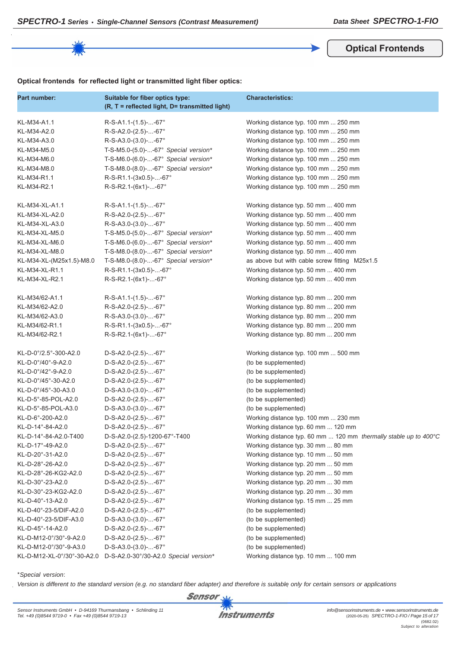**Optical Frontends**

### **Optical frontends for reflected light or transmitted light fiber optics:**

| Part number:                            | Suitable for fiber optics type:<br>(R, T = reflected light, D= transmitted light) | <b>Characteristics:</b>                                          |
|-----------------------------------------|-----------------------------------------------------------------------------------|------------------------------------------------------------------|
| KL-M34-A1.1                             | $R-S-A1.1-(1.5)$ --67°                                                            | Working distance typ. 100 mm  250 mm                             |
| KL-M34-A2.0                             | R-S-A2.0-(2.5)--67°                                                               | Working distance typ. 100 mm  250 mm                             |
| KL-M34-A3.0                             | R-S-A3.0-(3.0)--67°                                                               | Working distance typ. 100 mm  250 mm                             |
| KL-M34-M5.0                             | T-S-M5.0-(5.0)--67° Special version*                                              | Working distance typ. 100 mm  250 mm                             |
| KL-M34-M6.0                             | T-S-M6.0-(6.0)--67° Special version*                                              | Working distance typ. 100 mm  250 mm                             |
| KL-M34-M8.0                             | T-S-M8.0-(8.0)--67° Special version*                                              | Working distance typ. 100 mm  250 mm                             |
| KL-M34-R1.1                             | R-S-R1.1-(3x0.5)--67°                                                             | Working distance typ. 100 mm  250 mm                             |
| KL-M34-R2.1                             | R-S-R2.1-(6x1)--67°                                                               | Working distance typ. 100 mm  250 mm                             |
| KL-M34-XL-A1.1                          | $R-S-A1.1-(1.5)$ --67°                                                            | Working distance typ. 50 mm  400 mm                              |
| KL-M34-XL-A2.0                          | R-S-A2.0-(2.5)--67°                                                               | Working distance typ. 50 mm  400 mm                              |
| KL-M34-XL-A3.0                          | R-S-A3.0-(3.0)--67°                                                               | Working distance typ. 50 mm  400 mm                              |
| KL-M34-XL-M5.0                          | T-S-M5.0-(5.0)--67° Special version*                                              | Working distance typ. 50 mm  400 mm                              |
| KL-M34-XL-M6.0                          | T-S-M6.0-(6.0)--67° Special version*                                              | Working distance typ. 50 mm  400 mm                              |
| KL-M34-XL-M8.0                          | T-S-M8.0-(8.0)--67° Special version*                                              | Working distance typ. 50 mm  400 mm                              |
| KL-M34-XL-(M25x1.5)-M8.0                | T-S-M8.0-(8.0)--67° Special version*                                              | as above but with cable screw fitting M25x1.5                    |
| KL-M34-XL-R1.1                          | R-S-R1.1-(3x0.5)--67°                                                             | Working distance typ. 50 mm  400 mm                              |
| KL-M34-XL-R2.1                          | R-S-R2.1-(6x1)--67°                                                               | Working distance typ. 50 mm  400 mm                              |
| KL-M34/62-A1.1                          | $R-S-A1.1-(1.5)$ --67°                                                            | Working distance typ. 80 mm  200 mm                              |
| KL-M34/62-A2.0                          | R-S-A2.0-(2.5)--67°                                                               | Working distance typ. 80 mm  200 mm                              |
| KL-M34/62-A3.0                          | R-S-A3.0-(3.0)--67°                                                               | Working distance typ. 80 mm  200 mm                              |
| KL-M34/62-R1.1                          | R-S-R1.1-(3x0.5)--67°                                                             | Working distance typ. 80 mm  200 mm                              |
| KL-M34/62-R2.1                          | R-S-R2.1-(6x1)--67°                                                               | Working distance typ. 80 mm  200 mm                              |
| KL-D-0°/2.5°-300-A2.0                   | $D-S-A2.0-(2.5)$ --67°                                                            | Working distance typ. 100 mm  500 mm                             |
| $KL$ -D-0 $^{\circ}/40^{\circ}$ -9-A2.0 | $D-S-A2.0-(2.5)$ --67°                                                            | (to be supplemented)                                             |
| KL-D-0°/42°-9-A2.0                      | $D-S-A2.0-(2.5)$ --67°                                                            | (to be supplemented)                                             |
| KL-D-0°/45°-30-A2.0                     | $D-S-A2.0-(2.5)$ --67°                                                            | (to be supplemented)                                             |
| KL-D-0°/45°-30-A3.0                     | $D-S-A3.0-(3.0)$ --67°                                                            | (to be supplemented)                                             |
| KL-D-5°-85-POL-A2.0                     | $D-S-A2.0-(2.5)$ --67°                                                            | (to be supplemented)                                             |
| KL-D-5°-85-POL-A3.0                     | $D-S-A3.0-(3.0)$ --67°                                                            | (to be supplemented)                                             |
| KL-D-6°-200-A2.0                        | $D-S-A2.0-(2.5)$ --67°                                                            | Working distance typ. 100 mm  230 mm                             |
| KL-D-14°-84-A2.0                        | $D-S-A2.0-(2.5)$ --67°                                                            | Working distance typ. 60 mm  120 mm                              |
| KL-D-14°-84-A2.0-T400                   | D-S-A2.0-(2.5)-1200-67°-T400                                                      | Working distance typ. 60 mm  120 mm thermally stable up to 400°C |
| KL-D-17°-49-A2.0                        | $D-S-A2.0-(2.5)$ --67°                                                            | Working distance typ. 30 mm  80 mm                               |
| KL-D-20°-31-A2.0                        | $D-S-A2.0-(2.5)$ --67°                                                            | Working distance typ. 10 mm  50 mm                               |
| KL-D-28°-26-A2.0                        | $D-S-A2.0-(2.5)$ --67°                                                            | Working distance typ. 20 mm  50 mm                               |
| KL-D-28°-26-KG2-A2.0                    | $D-S-A2.0-(2.5)$ --67°                                                            | Working distance typ. 20 mm  50 mm                               |
| KL-D-30°-23-A2.0                        | $D-S-A2.0-(2.5)$ --67°                                                            | Working distance typ. 20 mm  30 mm                               |
| KL-D-30°-23-KG2-A2.0                    | $D-S-A2.0-(2.5)$ --67°                                                            | Working distance typ. 20 mm  30 mm                               |
| KL-D-40°-13-A2.0                        | $D-S-A2.0-(2.5)$ --67°                                                            | Working distance typ. 15 mm  25 mm                               |
| KL-D-40°-23-5/DIF-A2.0                  | $D-S-A2.0-(2.5)$ --67°                                                            | (to be supplemented)                                             |
| KL-D-40°-23-5/DIF-A3.0                  | $D-S-A3.0-(3.0)$ --67°                                                            | (to be supplemented)                                             |
| KL-D-45°-14-A2.0                        | $D-S-A2.0-(2.5)$ --67°                                                            | (to be supplemented)                                             |
| KL-D-M12-0°/30°-9-A2.0                  | $D-S-A2.0-(2.5)$ --67°                                                            | (to be supplemented)                                             |
| KL-D-M12-0°/30°-9-A3.0                  | $D-S-A3.0-(3.0)$ --67°                                                            | (to be supplemented)                                             |
| KL-D-M12-XL-0°/30°-30-A2.0              | D-S-A2.0-30°/30-A2.0 Special version*                                             | Working distance typ. 10 mm  100 mm                              |

#### \**Special version*:

*Version is different to the standard version (e.g. no standard fiber adapter) and therefore is suitable only for certain sensors or applications* Sensor

**Instruments**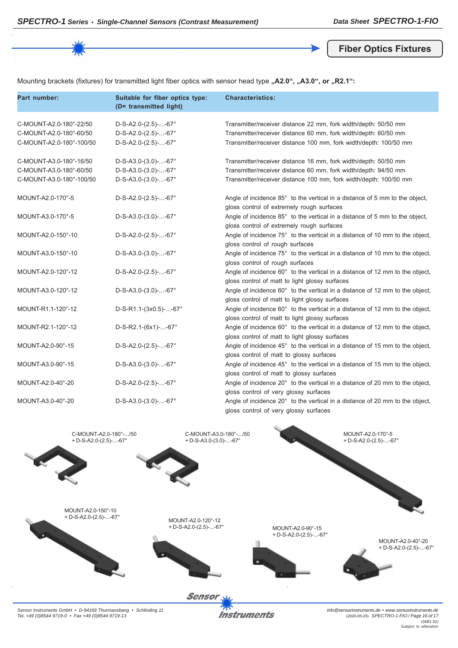**Fiber Optics Fixtures**

Mounting brackets (fixtures) for transmitted light fiber optics with sensor head type "A2.0", "A3.0", or "R2.1":

| Part number:                                                                   | Suitable for fiber optics type:<br>(D= transmitted light)                  | <b>Characteristics:</b>                                                                                                                                                                                 |
|--------------------------------------------------------------------------------|----------------------------------------------------------------------------|---------------------------------------------------------------------------------------------------------------------------------------------------------------------------------------------------------|
| C-MOUNT-A2.0-180°-22/50<br>C-MOUNT-A2.0-180°-60/50<br>C-MOUNT-A2.0-180°-100/50 | $D-S-A2.0-(2.5)$ --67°<br>$D-S-A2.0-(2.5)$ --67°<br>$D-S-A2.0-(2.5)$ --67° | Transmitter/receiver distance 22 mm, fork width/depth: 50/50 mm<br>Transmitter/receiver distance 60 mm, fork width/depth: 60/50 mm<br>Transmitter/receiver distance 100 mm, fork width/depth: 100/50 mm |
| C-MOUNT-A3.0-180°-16/50<br>C-MOUNT-A3.0-180°-60/50                             | $D-S-A3.0-(3.0)$ --67°<br>$D-S-A3.0-(3.0)$ --67°                           | Transmitter/receiver distance 16 mm, fork width/depth: 50/50 mm<br>Transmitter/receiver distance 60 mm, fork width/depth: 94/50 mm                                                                      |
| C-MOUNT-A3.0-180°-100/50                                                       | $D-S-A3.0-(3.0)$ --67°                                                     | Transmitter/receiver distance 100 mm, fork width/depth: 100/50 mm                                                                                                                                       |
| MOUNT-A2.0-170°-5                                                              | $D-S-A2.0-(2.5)$ --67°                                                     | Angle of incidence 85° to the vertical in a distance of 5 mm to the object,<br>gloss control of extremely rough surfaces                                                                                |
| MOUNT-A3.0-170°-5                                                              | $D-S-A3.0-(3.0)$ --67°                                                     | Angle of incidence 85° to the vertical in a distance of 5 mm to the object,<br>gloss control of extremely rough surfaces                                                                                |
| MOUNT-A2.0-150°-10                                                             | $D-S-A2.0-(2.5)$ --67°                                                     | Angle of incidence 75° to the vertical in a distance of 10 mm to the object,<br>gloss control of rough surfaces                                                                                         |
| MOUNT-A3.0-150°-10                                                             | $D-S-A3.0-(3.0)$ --67°                                                     | Angle of incidence 75° to the vertical in a distance of 10 mm to the object,<br>gloss control of rough surfaces                                                                                         |
| MOUNT-A2.0-120°-12                                                             | $D-S-A2.0-(2.5)$ --67°                                                     | Angle of incidence 60° to the vertical in a distance of 12 mm to the object,<br>gloss control of matt to light glossy surfaces                                                                          |
| MOUNT-A3.0-120°-12                                                             | $D-S-A3.0-(3.0)$ --67°                                                     | Angle of incidence 60° to the vertical in a distance of 12 mm to the object,<br>gloss control of matt to light glossy surfaces                                                                          |
| MOUNT-R1.1-120°-12                                                             | $D-S-R1.1-(3x0.5)$ --67°                                                   | Angle of incidence 60° to the vertical in a distance of 12 mm to the object,<br>gloss control of matt to light glossy surfaces                                                                          |
| MOUNT-R2.1-120°-12                                                             | $D-S-R2.1-(6x1)$ --67°                                                     | Angle of incidence 60° to the vertical in a distance of 12 mm to the object,<br>gloss control of matt to light glossy surfaces                                                                          |
| MOUNT-A2.0-90°-15                                                              | $D-S-A2.0-(2.5)$ --67°                                                     | Angle of incidence 45° to the vertical in a distance of 15 mm to the object,<br>gloss control of matt to glossy surfaces                                                                                |
| MOUNT-A3.0-90°-15                                                              | $D-S-A3.0-(3.0)$ --67°                                                     | Angle of incidence 45° to the vertical in a distance of 15 mm to the object,<br>gloss control of matt to glossy surfaces                                                                                |
| MOUNT-A2.0-40°-20                                                              | $D-S-A2.0-(2.5)$ --67°                                                     | Angle of incidence 20° to the vertical in a distance of 20 mm to the object,<br>gloss control of very glossy surfaces                                                                                   |
| MOUNT-A3.0-40°-20                                                              | $D-S-A3.0-(3.0)$ --67°                                                     | Angle of incidence 20° to the vertical in a distance of 20 mm to the object,<br>gloss control of very glossy surfaces                                                                                   |



*Sensor Instruments GmbH • D-94169 Thurmansbang • Schlinding 11 Tel. +49 (0)8544 9719-0 • Fax +49 (0)8544 9719-13*

**Instruments** 

*info@sensorinstruments.de • www.sensorinstruments.de* (2020-05-25) *SPECTRO-1-FIO / Page 16 of 17* (0682.02) *Subject to alteration*